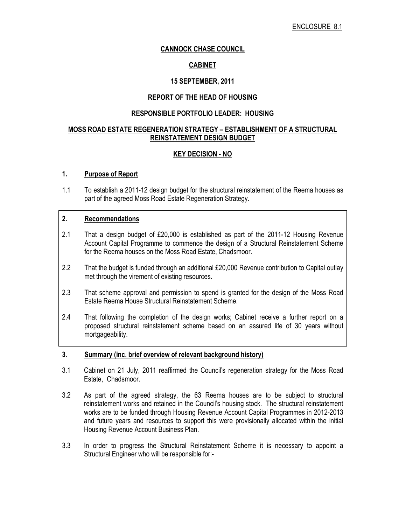## CANNOCK CHASE COUNCIL

## CABINET

## 15 SEPTEMBER, 2011

#### REPORT OF THE HEAD OF HOUSING

### RESPONSIBLE PORTFOLIO LEADER: HOUSING

### MOSS ROAD ESTATE REGENERATION STRATEGY – ESTABLISHMENT OF A STRUCTURAL REINSTATEMENT DESIGN BUDGET

### KEY DECISION - NO

#### 1. Purpose of Report

1.1 To establish a 2011-12 design budget for the structural reinstatement of the Reema houses as part of the agreed Moss Road Estate Regeneration Strategy.

### 2. Recommendations

- 2.1 That a design budget of £20,000 is established as part of the 2011-12 Housing Revenue Account Capital Programme to commence the design of a Structural Reinstatement Scheme for the Reema houses on the Moss Road Estate, Chadsmoor.
- 2.2 That the budget is funded through an additional £20,000 Revenue contribution to Capital outlay met through the virement of existing resources.
- 2.3 That scheme approval and permission to spend is granted for the design of the Moss Road Estate Reema House Structural Reinstatement Scheme.
- 2.4 That following the completion of the design works; Cabinet receive a further report on a proposed structural reinstatement scheme based on an assured life of 30 years without mortgageability.

#### 3. Summary (inc. brief overview of relevant background history)

- 3.1 Cabinet on 21 July, 2011 reaffirmed the Council's regeneration strategy for the Moss Road Estate, Chadsmoor.
- 3.2 As part of the agreed strategy, the 63 Reema houses are to be subject to structural reinstatement works and retained in the Council's housing stock. The structural reinstatement works are to be funded through Housing Revenue Account Capital Programmes in 2012-2013 and future years and resources to support this were provisionally allocated within the initial Housing Revenue Account Business Plan.
- 3.3 In order to progress the Structural Reinstatement Scheme it is necessary to appoint a Structural Engineer who will be responsible for:-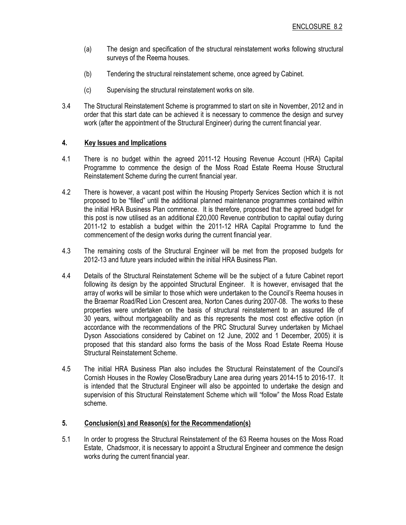- (a) The design and specification of the structural reinstatement works following structural surveys of the Reema houses.
- (b) Tendering the structural reinstatement scheme, once agreed by Cabinet.
- (c) Supervising the structural reinstatement works on site.
- 3.4 The Structural Reinstatement Scheme is programmed to start on site in November, 2012 and in order that this start date can be achieved it is necessary to commence the design and survey work (after the appointment of the Structural Engineer) during the current financial year.

### 4. Key Issues and Implications

- 4.1 There is no budget within the agreed 2011-12 Housing Revenue Account (HRA) Capital Programme to commence the design of the Moss Road Estate Reema House Structural Reinstatement Scheme during the current financial year.
- 4.2 There is however, a vacant post within the Housing Property Services Section which it is not proposed to be "filled" until the additional planned maintenance programmes contained within the initial HRA Business Plan commence. It is therefore, proposed that the agreed budget for this post is now utilised as an additional £20,000 Revenue contribution to capital outlay during 2011-12 to establish a budget within the 2011-12 HRA Capital Programme to fund the commencement of the design works during the current financial year.
- 4.3 The remaining costs of the Structural Engineer will be met from the proposed budgets for 2012-13 and future years included within the initial HRA Business Plan.
- 4.4 Details of the Structural Reinstatement Scheme will be the subject of a future Cabinet report following its design by the appointed Structural Engineer. It is however, envisaged that the array of works will be similar to those which were undertaken to the Council's Reema houses in the Braemar Road/Red Lion Crescent area, Norton Canes during 2007-08. The works to these properties were undertaken on the basis of structural reinstatement to an assured life of 30 years, without mortgageability and as this represents the most cost effective option (in accordance with the recommendations of the PRC Structural Survey undertaken by Michael Dyson Associations considered by Cabinet on 12 June, 2002 and 1 December, 2005) it is proposed that this standard also forms the basis of the Moss Road Estate Reema House Structural Reinstatement Scheme.
- 4.5 The initial HRA Business Plan also includes the Structural Reinstatement of the Council's Cornish Houses in the Rowley Close/Bradbury Lane area during years 2014-15 to 2016-17. It is intended that the Structural Engineer will also be appointed to undertake the design and supervision of this Structural Reinstatement Scheme which will "follow" the Moss Road Estate scheme.

#### 5. Conclusion(s) and Reason(s) for the Recommendation(s)

5.1 In order to progress the Structural Reinstatement of the 63 Reema houses on the Moss Road Estate, Chadsmoor, it is necessary to appoint a Structural Engineer and commence the design works during the current financial year.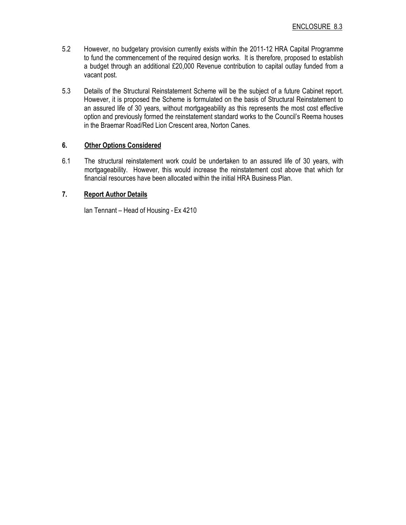- 5.2 However, no budgetary provision currently exists within the 2011-12 HRA Capital Programme to fund the commencement of the required design works. It is therefore, proposed to establish a budget through an additional £20,000 Revenue contribution to capital outlay funded from a vacant post.
- 5.3 Details of the Structural Reinstatement Scheme will be the subject of a future Cabinet report. However, it is proposed the Scheme is formulated on the basis of Structural Reinstatement to an assured life of 30 years, without mortgageability as this represents the most cost effective option and previously formed the reinstatement standard works to the Council's Reema houses in the Braemar Road/Red Lion Crescent area, Norton Canes.

# 6. Other Options Considered

6.1 The structural reinstatement work could be undertaken to an assured life of 30 years, with mortgageability. However, this would increase the reinstatement cost above that which for financial resources have been allocated within the initial HRA Business Plan.

# 7. Report Author Details

Ian Tennant – Head of Housing - Ex 4210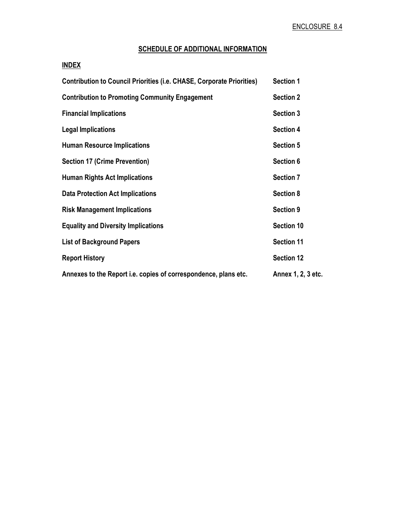# SCHEDULE OF ADDITIONAL INFORMATION

# INDEX

| <b>Contribution to Council Priorities (i.e. CHASE, Corporate Priorities)</b> | <b>Section 1</b>   |
|------------------------------------------------------------------------------|--------------------|
| <b>Contribution to Promoting Community Engagement</b>                        | <b>Section 2</b>   |
| <b>Financial Implications</b>                                                | Section 3          |
| <b>Legal Implications</b>                                                    | <b>Section 4</b>   |
| <b>Human Resource Implications</b>                                           | <b>Section 5</b>   |
| <b>Section 17 (Crime Prevention)</b>                                         | Section 6          |
| <b>Human Rights Act Implications</b>                                         | <b>Section 7</b>   |
| <b>Data Protection Act Implications</b>                                      | <b>Section 8</b>   |
| <b>Risk Management Implications</b>                                          | <b>Section 9</b>   |
| <b>Equality and Diversity Implications</b>                                   | <b>Section 10</b>  |
| <b>List of Background Papers</b>                                             | <b>Section 11</b>  |
| <b>Report History</b>                                                        | <b>Section 12</b>  |
| Annexes to the Report i.e. copies of correspondence, plans etc.              | Annex 1, 2, 3 etc. |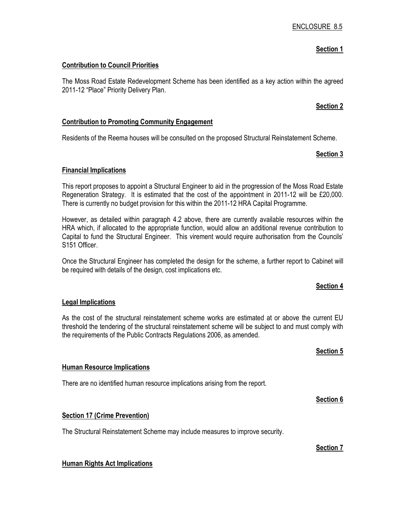# Section 1

#### Contribution to Council Priorities

The Moss Road Estate Redevelopment Scheme has been identified as a key action within the agreed 2011-12 "Place" Priority Delivery Plan.

### Section 2

#### Contribution to Promoting Community Engagement

Residents of the Reema houses will be consulted on the proposed Structural Reinstatement Scheme.

### Section 3

#### Financial Implications

This report proposes to appoint a Structural Engineer to aid in the progression of the Moss Road Estate Regeneration Strategy. It is estimated that the cost of the appointment in 2011-12 will be £20,000. There is currently no budget provision for this within the 2011-12 HRA Capital Programme.

However, as detailed within paragraph 4.2 above, there are currently available resources within the HRA which, if allocated to the appropriate function, would allow an additional revenue contribution to Capital to fund the Structural Engineer. This virement would require authorisation from the Councils' S151 Officer.

Once the Structural Engineer has completed the design for the scheme, a further report to Cabinet will be required with details of the design, cost implications etc.

#### Section 4

# Legal Implications

As the cost of the structural reinstatement scheme works are estimated at or above the current EU threshold the tendering of the structural reinstatement scheme will be subject to and must comply with the requirements of the Public Contracts Regulations 2006, as amended.

#### Section 5

#### Human Resource Implications

There are no identified human resource implications arising from the report.

Section 6

#### Section 17 (Crime Prevention)

The Structural Reinstatement Scheme may include measures to improve security.

Section 7

#### Human Rights Act Implications